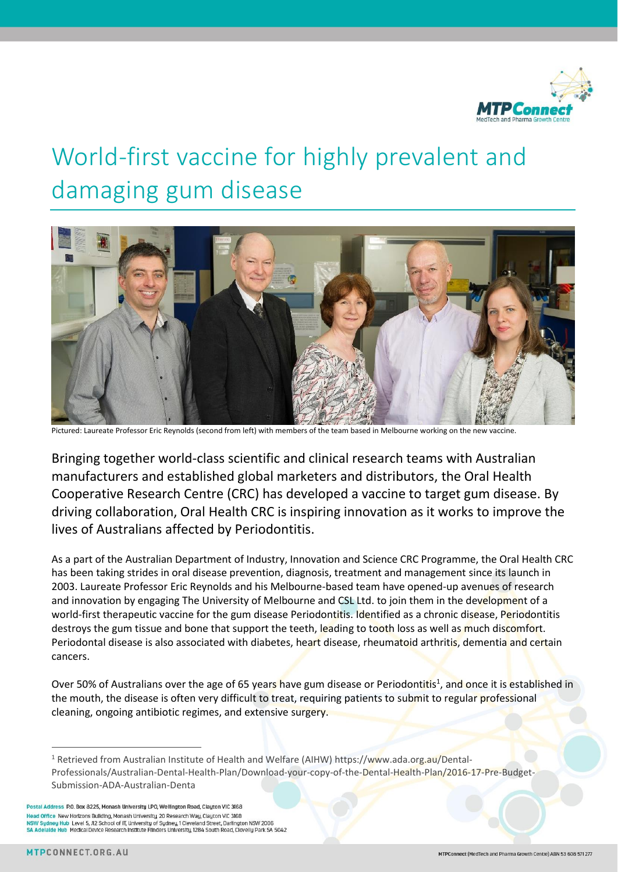

## World-first vaccine for highly prevalent and damaging gum disease



Pictured: Laureate Professor Eric Reynolds (second from left) with members of the team based in Melbourne working on the new vaccine.

Bringing together world-class scientific and clinical research teams with Australian manufacturers and established global marketers and distributors, the Oral Health Cooperative Research Centre (CRC) has developed a vaccine to target gum disease. By driving collaboration, Oral Health CRC is inspiring innovation as it works to improve the lives of Australians affected by Periodontitis.

As a part of the Australian Department of Industry, Innovation and Science CRC Programme, the Oral Health CRC has been taking strides in oral disease prevention, diagnosis, treatment and management since its launch in 2003. Laureate Professor Eric Reynolds and his Melbourne-based team have opened-up avenues of research and innovation by engaging The University of Melbourne and CSL Ltd. to join them in the development of a world-first therapeutic vaccine for the gum disease Periodontitis. Identified as a chronic disease, Periodontitis destroys the gum tissue and bone that support the teeth, leading to tooth loss as well as much discomfort. Periodontal disease is also associated with diabetes, heart disease, rheumatoid arthritis, dementia and certain cancers.

Over 50% of Australians over the age of 65 years have gum disease or Periodontitis<sup>1</sup>, and once it is established in the mouth, the disease is often very difficult to treat, requiring patients to submit to regular professional cleaning, ongoing antibiotic regimes, and extensive surgery.

Postal Address P.O. Box 8225, Monash University LPO, Wellington Road, Clayton VIC 3168 Head Office New Hortzons Building, Monash University, 20 Research Way, Clayton VIC 3168 NSW Sydney Hub Level 5, J12 School of IT, University of Sydney, 1 Cleveland Street, Darlington NSW 2006 SA Adelaide Hub Medical Device Research Institute Flinders University, 1284 South Road, Clovelly Park SA 5042

 $\overline{a}$ 

<sup>&</sup>lt;sup>1</sup> Retrieved from Australian Institute of Health and Welfare (AIHW) https://www.ada.org.au/Dental-Professionals/Australian-Dental-Health-Plan/Download-your-copy-of-the-Dental-Health-Plan/2016-17-Pre-Budget-Submission-ADA-Australian-Denta